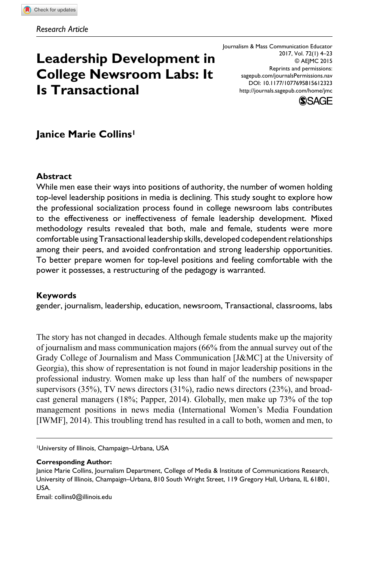# **Leadership Development in College Newsroom Labs: It Is Transactional**

Journalism & Mass Communication Educator 2017, Vol. 72(1) 4–23 © AEJMC 2015 Reprints and permissions: sagepub.com/journalsPermissions.nav DOI: [10.1177/1077695815612323](https://doi.org/10.1177/1077695815612323) http://journals.sagepub.com/home/jmc



# **Janice Marie Collins1**

#### **Abstract**

While men ease their ways into positions of authority, the number of women holding top-level leadership positions in media is declining. This study sought to explore how the professional socialization process found in college newsroom labs contributes to the effectiveness or ineffectiveness of female leadership development. Mixed methodology results revealed that both, male and female, students were more comfortable using Transactional leadership skills, developed codependent relationships among their peers, and avoided confrontation and strong leadership opportunities. To better prepare women for top-level positions and feeling comfortable with the power it possesses, a restructuring of the pedagogy is warranted.

#### **Keywords**

gender, journalism, leadership, education, newsroom, Transactional, classrooms, labs

The story has not changed in decades. Although female students make up the majority of journalism and mass communication majors (66% from the annual survey out of the Grady College of Journalism and Mass Communication [J&MC] at the University of Georgia), this show of representation is not found in major leadership positions in the professional industry. Women make up less than half of the numbers of newspaper supervisors (35%), TV news directors (31%), radio news directors (23%), and broadcast general managers (18%; Papper, 2014). Globally, men make up 73% of the top management positions in news media (International Women's Media Foundation [IWMF], 2014). This troubling trend has resulted in a call to both, women and men, to

1University of Illinois, Champaign–Urbana, USA

#### **Corresponding Author:**

Email: [collins0@illinois.edu](mailto:collins0@illinois.edu)

Janice Marie Collins, Journalism Department, College of Media & Institute of Communications Research, University of Illinois, Champaign–Urbana, 810 South Wright Street, 119 Gregory Hall, Urbana, IL 61801, USA.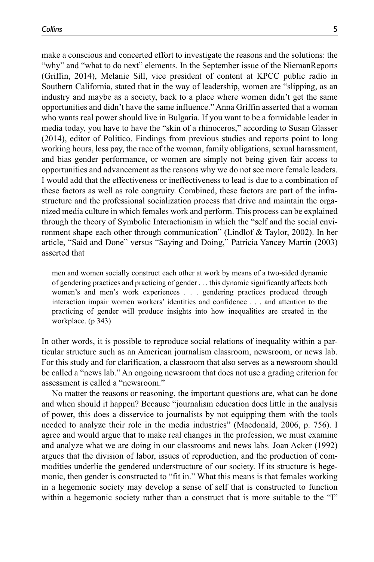make a conscious and concerted effort to investigate the reasons and the solutions: the "why" and "what to do next" elements. In the September issue of the NiemanReports (Griffin, 2014), Melanie Sill, vice president of content at KPCC public radio in Southern California, stated that in the way of leadership, women are "slipping, as an industry and maybe as a society, back to a place where women didn't get the same opportunities and didn't have the same influence." Anna Griffin asserted that a woman who wants real power should live in Bulgaria. If you want to be a formidable leader in media today, you have to have the "skin of a rhinoceros," according to Susan Glasser (2014), editor of Politico. Findings from previous studies and reports point to long working hours, less pay, the race of the woman, family obligations, sexual harassment, and bias gender performance, or women are simply not being given fair access to opportunities and advancement as the reasons why we do not see more female leaders. I would add that the effectiveness or ineffectiveness to lead is due to a combination of these factors as well as role congruity. Combined, these factors are part of the infrastructure and the professional socialization process that drive and maintain the organized media culture in which females work and perform. This process can be explained through the theory of Symbolic Interactionism in which the "self and the social environment shape each other through communication" (Lindlof & Taylor, 2002). In her article, "Said and Done" versus "Saying and Doing," Patricia Yancey Martin (2003) asserted that

men and women socially construct each other at work by means of a two-sided dynamic of gendering practices and practicing of gender . . . this dynamic significantly affects both women's and men's work experiences . . . gendering practices produced through interaction impair women workers' identities and confidence . . . and attention to the practicing of gender will produce insights into how inequalities are created in the workplace. (p 343)

In other words, it is possible to reproduce social relations of inequality within a particular structure such as an American journalism classroom, newsroom, or news lab. For this study and for clarification, a classroom that also serves as a newsroom should be called a "news lab." An ongoing newsroom that does not use a grading criterion for assessment is called a "newsroom."

No matter the reasons or reasoning, the important questions are, what can be done and when should it happen? Because "journalism education does little in the analysis of power, this does a disservice to journalists by not equipping them with the tools needed to analyze their role in the media industries" (Macdonald, 2006, p. 756). I agree and would argue that to make real changes in the profession, we must examine and analyze what we are doing in our classrooms and news labs. Joan Acker (1992) argues that the division of labor, issues of reproduction, and the production of commodities underlie the gendered understructure of our society. If its structure is hegemonic, then gender is constructed to "fit in." What this means is that females working in a hegemonic society may develop a sense of self that is constructed to function within a hegemonic society rather than a construct that is more suitable to the "I"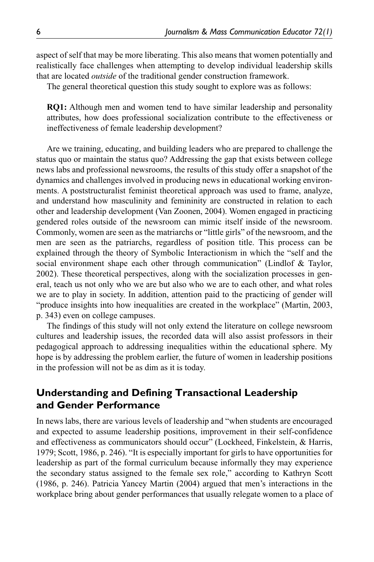aspect of self that may be more liberating. This also means that women potentially and realistically face challenges when attempting to develop individual leadership skills that are located *outside* of the traditional gender construction framework.

The general theoretical question this study sought to explore was as follows:

**RQ1:** Although men and women tend to have similar leadership and personality attributes, how does professional socialization contribute to the effectiveness or ineffectiveness of female leadership development?

Are we training, educating, and building leaders who are prepared to challenge the status quo or maintain the status quo? Addressing the gap that exists between college news labs and professional newsrooms, the results of this study offer a snapshot of the dynamics and challenges involved in producing news in educational working environments. A poststructuralist feminist theoretical approach was used to frame, analyze, and understand how masculinity and femininity are constructed in relation to each other and leadership development (Van Zoonen, 2004). Women engaged in practicing gendered roles outside of the newsroom can mimic itself inside of the newsroom. Commonly, women are seen as the matriarchs or "little girls" of the newsroom, and the men are seen as the patriarchs, regardless of position title. This process can be explained through the theory of Symbolic Interactionism in which the "self and the social environment shape each other through communication" (Lindlof & Taylor, 2002). These theoretical perspectives, along with the socialization processes in general, teach us not only who we are but also who we are to each other, and what roles we are to play in society. In addition, attention paid to the practicing of gender will "produce insights into how inequalities are created in the workplace" (Martin, 2003, p. 343) even on college campuses.

The findings of this study will not only extend the literature on college newsroom cultures and leadership issues, the recorded data will also assist professors in their pedagogical approach to addressing inequalities within the educational sphere. My hope is by addressing the problem earlier, the future of women in leadership positions in the profession will not be as dim as it is today.

# **Understanding and Defining Transactional Leadership and Gender Performance**

In news labs, there are various levels of leadership and "when students are encouraged and expected to assume leadership positions, improvement in their self-confidence and effectiveness as communicators should occur" (Lockheed, Finkelstein, & Harris, 1979; Scott, 1986, p. 246). "It is especially important for girls to have opportunities for leadership as part of the formal curriculum because informally they may experience the secondary status assigned to the female sex role," according to Kathryn Scott (1986, p. 246). Patricia Yancey Martin (2004) argued that men's interactions in the workplace bring about gender performances that usually relegate women to a place of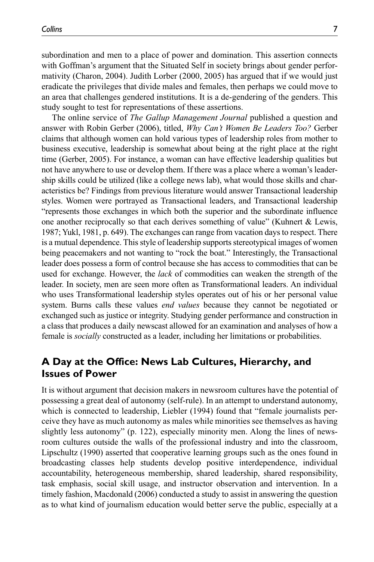subordination and men to a place of power and domination. This assertion connects with Goffman's argument that the Situated Self in society brings about gender performativity (Charon, 2004). Judith Lorber (2000, 2005) has argued that if we would just eradicate the privileges that divide males and females, then perhaps we could move to an area that challenges gendered institutions. It is a de-gendering of the genders. This study sought to test for representations of these assertions.

The online service of *The Gallup Management Journal* published a question and answer with Robin Gerber (2006), titled, *Why Can't Women Be Leaders Too?* Gerber claims that although women can hold various types of leadership roles from mother to business executive, leadership is somewhat about being at the right place at the right time (Gerber, 2005). For instance, a woman can have effective leadership qualities but not have anywhere to use or develop them. If there was a place where a woman's leadership skills could be utilized (like a college news lab), what would those skills and characteristics be? Findings from previous literature would answer Transactional leadership styles. Women were portrayed as Transactional leaders, and Transactional leadership "represents those exchanges in which both the superior and the subordinate influence one another reciprocally so that each derives something of value" (Kuhnert & Lewis, 1987; Yukl, 1981, p. 649). The exchanges can range from vacation days to respect. There is a mutual dependence. This style of leadership supports stereotypical images of women being peacemakers and not wanting to "rock the boat." Interestingly, the Transactional leader does possess a form of control because she has access to commodities that can be used for exchange. However, the *lack* of commodities can weaken the strength of the leader. In society, men are seen more often as Transformational leaders. An individual who uses Transformational leadership styles operates out of his or her personal value system. Burns calls these values *end values* because they cannot be negotiated or exchanged such as justice or integrity. Studying gender performance and construction in a class that produces a daily newscast allowed for an examination and analyses of how a female is *socially* constructed as a leader, including her limitations or probabilities.

# **A Day at the Office: News Lab Cultures, Hierarchy, and Issues of Power**

It is without argument that decision makers in newsroom cultures have the potential of possessing a great deal of autonomy (self-rule). In an attempt to understand autonomy, which is connected to leadership, Liebler (1994) found that "female journalists perceive they have as much autonomy as males while minorities see themselves as having slightly less autonomy" (p. 122), especially minority men. Along the lines of newsroom cultures outside the walls of the professional industry and into the classroom, Lipschultz (1990) asserted that cooperative learning groups such as the ones found in broadcasting classes help students develop positive interdependence, individual accountability, heterogeneous membership, shared leadership, shared responsibility, task emphasis, social skill usage, and instructor observation and intervention. In a timely fashion, Macdonald (2006) conducted a study to assist in answering the question as to what kind of journalism education would better serve the public, especially at a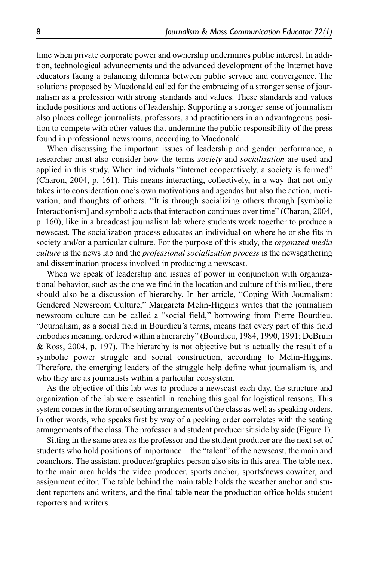time when private corporate power and ownership undermines public interest. In addition, technological advancements and the advanced development of the Internet have educators facing a balancing dilemma between public service and convergence. The solutions proposed by Macdonald called for the embracing of a stronger sense of journalism as a profession with strong standards and values. These standards and values include positions and actions of leadership. Supporting a stronger sense of journalism also places college journalists, professors, and practitioners in an advantageous position to compete with other values that undermine the public responsibility of the press found in professional newsrooms, according to Macdonald.

When discussing the important issues of leadership and gender performance, a researcher must also consider how the terms *society* and *socialization* are used and applied in this study. When individuals "interact cooperatively, a society is formed" (Charon, 2004, p. 161). This means interacting, collectively, in a way that not only takes into consideration one's own motivations and agendas but also the action, motivation, and thoughts of others. "It is through socializing others through [symbolic Interactionism] and symbolic acts that interaction continues over time" (Charon, 2004, p. 160), like in a broadcast journalism lab where students work together to produce a newscast. The socialization process educates an individual on where he or she fits in society and/or a particular culture. For the purpose of this study, the *organized media culture* is the news lab and the *professional socialization process* is the newsgathering and dissemination process involved in producing a newscast.

When we speak of leadership and issues of power in conjunction with organizational behavior, such as the one we find in the location and culture of this milieu, there should also be a discussion of hierarchy. In her article, "Coping With Journalism: Gendered Newsroom Culture," Margareta Melin-Higgins writes that the journalism newsroom culture can be called a "social field," borrowing from Pierre Bourdieu. "Journalism, as a social field in Bourdieu's terms, means that every part of this field embodies meaning, ordered within a hierarchy" (Bourdieu, 1984, 1990, 1991; DeBruin & Ross, 2004, p. 197). The hierarchy is not objective but is actually the result of a symbolic power struggle and social construction, according to Melin-Higgins. Therefore, the emerging leaders of the struggle help define what journalism is, and who they are as journalists within a particular ecosystem.

As the objective of this lab was to produce a newscast each day, the structure and organization of the lab were essential in reaching this goal for logistical reasons. This system comes in the form of seating arrangements of the class as well as speaking orders. In other words, who speaks first by way of a pecking order correlates with the seating arrangements of the class. The professor and student producer sit side by side (Figure 1).

Sitting in the same area as the professor and the student producer are the next set of students who hold positions of importance—the "talent" of the newscast, the main and coanchors. The assistant producer/graphics person also sits in this area. The table next to the main area holds the video producer, sports anchor, sports/news cowriter, and assignment editor. The table behind the main table holds the weather anchor and student reporters and writers, and the final table near the production office holds student reporters and writers.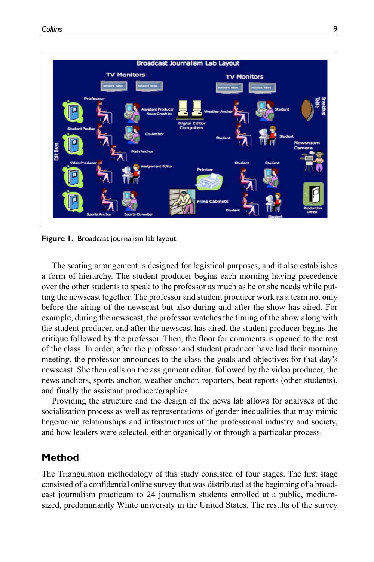

**Figure 1.** Broadcast journalism lab layout.

The seating arrangement is designed for logistical purposes, and it also establishes a form of hierarchy. The student producer begins each morning having precedence over the other students to speak to the professor as much as he or she needs while putting the newscast together. The professor and student producer work as a team not only before the airing of the newscast but also during and after the show has aired. For example, during the newscast, the professor watches the timing of the show along with the student producer, and after the newscast has aired, the student producer begins the critique followed by the professor. Then, the floor for comments is opened to the rest of the class. In order, after the professor and student producer have had their morning meeting, the professor announces to the class the goals and objectives for that day's newscast. She then calls on the assignment editor, followed by the video producer, the news anchors, sports anchor, weather anchor, reporters, beat reports (other students), and finally the assistant producer/graphics.

Providing the structure and the design of the news lab allows for analyses of the socialization process as well as representations of gender inequalities that may mimic hegemonic relationships and infrastructures of the professional industry and society, and how leaders were selected, either organically or through a particular process.

# **Method**

The Triangulation methodology of this study consisted of four stages. The first stage consisted of a confidential online survey that was distributed at the beginning of a broadcast journalism practicum to 24 journalism students enrolled at a public, mediumsized, predominantly White university in the United States. The results of the survey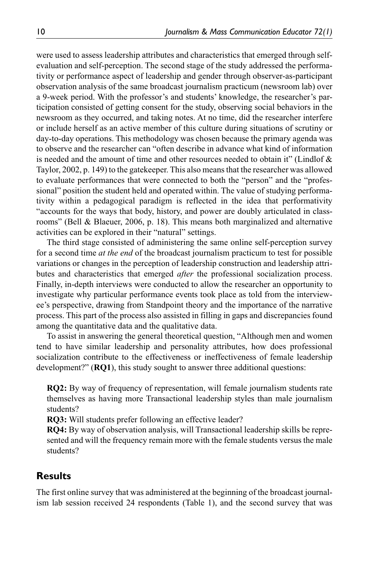were used to assess leadership attributes and characteristics that emerged through selfevaluation and self-perception. The second stage of the study addressed the performativity or performance aspect of leadership and gender through observer-as-participant observation analysis of the same broadcast journalism practicum (newsroom lab) over a 9-week period. With the professor's and students' knowledge, the researcher's participation consisted of getting consent for the study, observing social behaviors in the newsroom as they occurred, and taking notes. At no time, did the researcher interfere or include herself as an active member of this culture during situations of scrutiny or day-to-day operations. This methodology was chosen because the primary agenda was to observe and the researcher can "often describe in advance what kind of information is needed and the amount of time and other resources needed to obtain it" (Lindlof  $\&$ Taylor, 2002, p. 149) to the gatekeeper. This also means that the researcher was allowed to evaluate performances that were connected to both the "person" and the "professional" position the student held and operated within. The value of studying performativity within a pedagogical paradigm is reflected in the idea that performativity "accounts for the ways that body, history, and power are doubly articulated in classrooms" (Bell & Blaeuer, 2006, p. 18). This means both marginalized and alternative activities can be explored in their "natural" settings.

The third stage consisted of administering the same online self-perception survey for a second time *at the end* of the broadcast journalism practicum to test for possible variations or changes in the perception of leadership construction and leadership attributes and characteristics that emerged *after* the professional socialization process. Finally, in-depth interviews were conducted to allow the researcher an opportunity to investigate why particular performance events took place as told from the interviewee's perspective, drawing from Standpoint theory and the importance of the narrative process. This part of the process also assisted in filling in gaps and discrepancies found among the quantitative data and the qualitative data.

To assist in answering the general theoretical question, "Although men and women tend to have similar leadership and personality attributes, how does professional socialization contribute to the effectiveness or ineffectiveness of female leadership development?" (**RQ1**), this study sought to answer three additional questions:

**RQ2:** By way of frequency of representation, will female journalism students rate themselves as having more Transactional leadership styles than male journalism students?

**RQ3:** Will students prefer following an effective leader?

**RQ4:** By way of observation analysis, will Transactional leadership skills be represented and will the frequency remain more with the female students versus the male students?

# **Results**

The first online survey that was administered at the beginning of the broadcast journalism lab session received 24 respondents (Table 1), and the second survey that was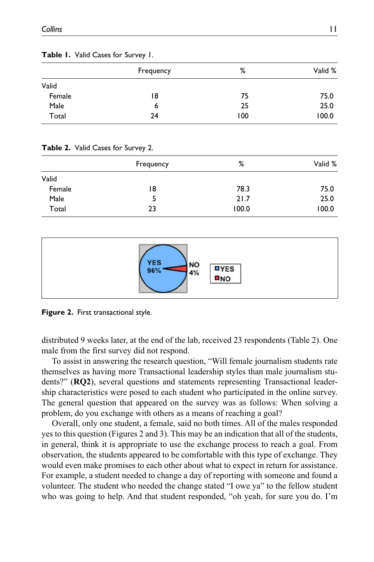|        | Frequency | %   | Valid % |
|--------|-----------|-----|---------|
| Valid  |           |     |         |
| Female | 18        | 75  | 75.0    |
| Male   | 6         | 25  | 25.0    |
| Total  | 24        | 100 | 100.0   |

#### **Table 1.** Valid Cases for Survey 1.

#### **Table 2.** Valid Cases for Survey 2.

|        | Frequency | %     | Valid % |
|--------|-----------|-------|---------|
| Valid  |           |       |         |
| Female | 18        | 78.3  | 75.0    |
| Male   | 5         | 21.7  | 25.0    |
| Total  | 23        | 100.0 | 100.0   |



**Figure 2.** First transactional style.

distributed 9 weeks later, at the end of the lab, received 23 respondents (Table 2). One male from the first survey did not respond.

To assist in answering the research question, "Will female journalism students rate themselves as having more Transactional leadership styles than male journalism students?" (**RQ2**), several questions and statements representing Transactional leadership characteristics were posed to each student who participated in the online survey. The general question that appeared on the survey was as follows: When solving a problem, do you exchange with others as a means of reaching a goal?

Overall, only one student, a female, said no both times. All of the males responded yes to this question (Figures 2 and 3). This may be an indication that all of the students, in general, think it is appropriate to use the exchange process to reach a goal. From observation, the students appeared to be comfortable with this type of exchange. They would even make promises to each other about what to expect in return for assistance. For example, a student needed to change a day of reporting with someone and found a volunteer. The student who needed the change stated "I owe ya" to the fellow student who was going to help. And that student responded, "oh yeah, for sure you do. I'm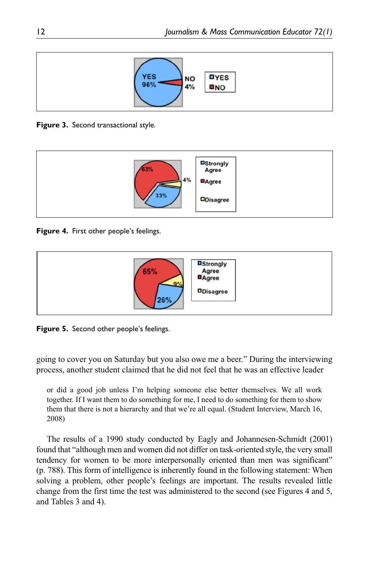

**Figure 3.** Second transactional style.



**Figure 4.** First other people's feelings.



**Figure 5.** Second other people's feelings.

going to cover you on Saturday but you also owe me a beer." During the interviewing process, another student claimed that he did not feel that he was an effective leader

or did a good job unless I'm helping someone else better themselves. We all work together. If I want them to do something for me, I need to do something for them to show them that there is not a hierarchy and that we're all equal. (Student Interview, March 16, 2008)

The results of a 1990 study conducted by Eagly and Johannesen-Schmidt (2001) found that "although men and women did not differ on task-oriented style, the very small tendency for women to be more interpersonally oriented than men was significant" (p. 788). This form of intelligence is inherently found in the following statement: When solving a problem, other people's feelings are important. The results revealed little change from the first time the test was administered to the second (see Figures 4 and 5, and Tables 3 and 4).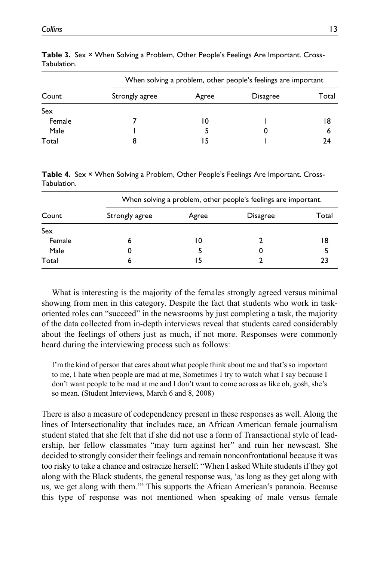| Count  | When solving a problem, other people's feelings are important |       |                 |       |
|--------|---------------------------------------------------------------|-------|-----------------|-------|
|        | Strongly agree                                                | Agree | <b>Disagree</b> | Total |
| Sex    |                                                               |       |                 |       |
| Female |                                                               | 10    |                 | 18    |
| Male   |                                                               |       | 0               | 6     |
| Total  | 8                                                             |       |                 | 24    |

Table 3. Sex × When Solving a Problem, Other People's Feelings Are Important. Cross-Tabulation.

**Table 4.** Sex × When Solving a Problem, Other People's Feelings Are Important. Cross-Tabulation.

| Count  | When solving a problem, other people's feelings are important. |       |                 |       |
|--------|----------------------------------------------------------------|-------|-----------------|-------|
|        | Strongly agree                                                 | Agree | <b>Disagree</b> | Total |
| Sex    |                                                                |       |                 |       |
| Female | 6                                                              | 10    |                 | 18    |
| Male   |                                                                |       |                 |       |
| Total  | 6                                                              | -5    |                 | 23    |

What is interesting is the majority of the females strongly agreed versus minimal showing from men in this category. Despite the fact that students who work in taskoriented roles can "succeed" in the newsrooms by just completing a task, the majority of the data collected from in-depth interviews reveal that students cared considerably about the feelings of others just as much, if not more. Responses were commonly heard during the interviewing process such as follows:

I'm the kind of person that cares about what people think about me and that's so important to me, I hate when people are mad at me, Sometimes I try to watch what I say because I don't want people to be mad at me and I don't want to come across as like oh, gosh, she's so mean. (Student Interviews, March 6 and 8, 2008)

There is also a measure of codependency present in these responses as well. Along the lines of Intersectionality that includes race, an African American female journalism student stated that she felt that if she did not use a form of Transactional style of leadership, her fellow classmates "may turn against her" and ruin her newscast. She decided to strongly consider their feelings and remain nonconfrontational because it was too risky to take a chance and ostracize herself: "When I asked White students if they got along with the Black students, the general response was, 'as long as they get along with us, we get along with them.'" This supports the African American's paranoia. Because this type of response was not mentioned when speaking of male versus female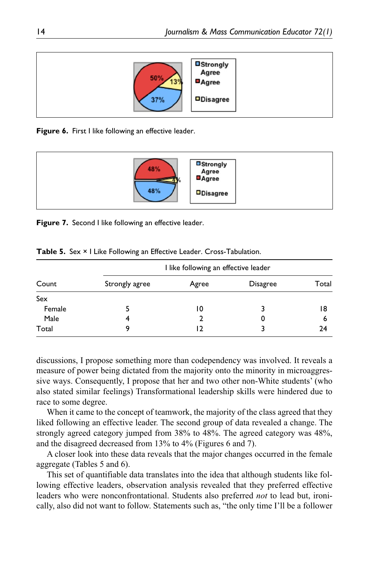

**Figure 6.** First I like following an effective leader.



**Figure 7.** Second I like following an effective leader.

| Count  | I like following an effective leader |       |                 |       |
|--------|--------------------------------------|-------|-----------------|-------|
|        | Strongly agree                       | Agree | <b>Disagree</b> | Total |
| Sex    |                                      |       |                 |       |
| Female |                                      | 10    |                 | 18    |
| Male   |                                      |       |                 | 6     |
| Total  | a                                    | ר ו   |                 | 24    |

**Table 5.** Sex × I Like Following an Effective Leader. Cross-Tabulation.

discussions, I propose something more than codependency was involved. It reveals a measure of power being dictated from the majority onto the minority in microaggressive ways. Consequently, I propose that her and two other non-White students' (who also stated similar feelings) Transformational leadership skills were hindered due to race to some degree.

When it came to the concept of teamwork, the majority of the class agreed that they liked following an effective leader. The second group of data revealed a change. The strongly agreed category jumped from 38% to 48%. The agreed category was 48%, and the disagreed decreased from 13% to 4% (Figures 6 and 7).

A closer look into these data reveals that the major changes occurred in the female aggregate (Tables 5 and 6).

This set of quantifiable data translates into the idea that although students like following effective leaders, observation analysis revealed that they preferred effective leaders who were nonconfrontational. Students also preferred *not* to lead but, ironically, also did not want to follow. Statements such as, "the only time I'll be a follower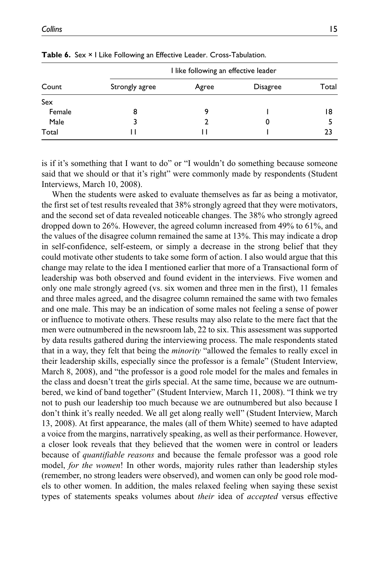| Count  | I like following an effective leader |       |                 |       |
|--------|--------------------------------------|-------|-----------------|-------|
|        | Strongly agree                       | Agree | <b>Disagree</b> | Total |
| Sex    |                                      |       |                 |       |
| Female | 8                                    |       |                 | 18    |
| Male   |                                      |       |                 |       |
| Total  |                                      |       |                 | 23    |

Table 6. Sex × I Like Following an Effective Leader. Cross-Tabulation.

is if it's something that I want to do" or "I wouldn't do something because someone said that we should or that it's right" were commonly made by respondents (Student Interviews, March 10, 2008).

When the students were asked to evaluate themselves as far as being a motivator, the first set of test results revealed that 38% strongly agreed that they were motivators, and the second set of data revealed noticeable changes. The 38% who strongly agreed dropped down to 26%. However, the agreed column increased from 49% to 61%, and the values of the disagree column remained the same at 13%. This may indicate a drop in self-confidence, self-esteem, or simply a decrease in the strong belief that they could motivate other students to take some form of action. I also would argue that this change may relate to the idea I mentioned earlier that more of a Transactional form of leadership was both observed and found evident in the interviews. Five women and only one male strongly agreed (vs. six women and three men in the first), 11 females and three males agreed, and the disagree column remained the same with two females and one male. This may be an indication of some males not feeling a sense of power or influence to motivate others. These results may also relate to the mere fact that the men were outnumbered in the newsroom lab, 22 to six. This assessment was supported by data results gathered during the interviewing process. The male respondents stated that in a way, they felt that being the *minority* "allowed the females to really excel in their leadership skills, especially since the professor is a female" (Student Interview, March 8, 2008), and "the professor is a good role model for the males and females in the class and doesn't treat the girls special. At the same time, because we are outnumbered, we kind of band together" (Student Interview, March 11, 2008). "I think we try not to push our leadership too much because we are outnumbered but also because I don't think it's really needed. We all get along really well" (Student Interview, March 13, 2008). At first appearance, the males (all of them White) seemed to have adapted a voice from the margins, narratively speaking, as well as their performance. However, a closer look reveals that they believed that the women were in control or leaders because of *quantifiable reasons* and because the female professor was a good role model, *for the women*! In other words, majority rules rather than leadership styles (remember, no strong leaders were observed), and women can only be good role models to other women. In addition, the males relaxed feeling when saying these sexist types of statements speaks volumes about *their* idea of *accepted* versus effective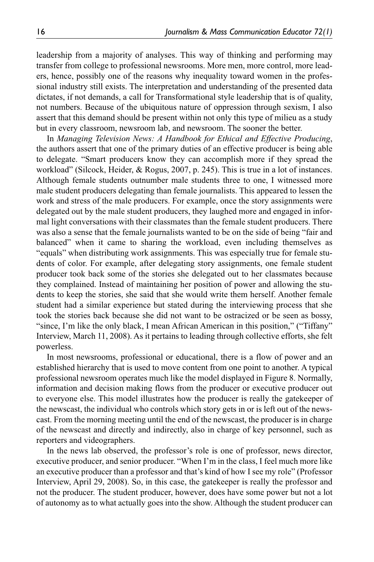leadership from a majority of analyses. This way of thinking and performing may transfer from college to professional newsrooms. More men, more control, more leaders, hence, possibly one of the reasons why inequality toward women in the professional industry still exists. The interpretation and understanding of the presented data dictates, if not demands, a call for Transformational style leadership that is of quality, not numbers. Because of the ubiquitous nature of oppression through sexism, I also assert that this demand should be present within not only this type of milieu as a study but in every classroom, newsroom lab, and newsroom. The sooner the better.

In *Managing Television News: A Handbook for Ethical and Effective Producing*, the authors assert that one of the primary duties of an effective producer is being able to delegate. "Smart producers know they can accomplish more if they spread the workload" (Silcock, Heider, & Rogus, 2007, p. 245). This is true in a lot of instances. Although female students outnumber male students three to one, I witnessed more male student producers delegating than female journalists. This appeared to lessen the work and stress of the male producers. For example, once the story assignments were delegated out by the male student producers, they laughed more and engaged in informal light conversations with their classmates than the female student producers. There was also a sense that the female journalists wanted to be on the side of being "fair and balanced" when it came to sharing the workload, even including themselves as "equals" when distributing work assignments. This was especially true for female students of color. For example, after delegating story assignments, one female student producer took back some of the stories she delegated out to her classmates because they complained. Instead of maintaining her position of power and allowing the students to keep the stories, she said that she would write them herself. Another female student had a similar experience but stated during the interviewing process that she took the stories back because she did not want to be ostracized or be seen as bossy, "since, I'm like the only black, I mean African American in this position," ("Tiffany" Interview, March 11, 2008). As it pertains to leading through collective efforts, she felt powerless.

In most newsrooms, professional or educational, there is a flow of power and an established hierarchy that is used to move content from one point to another. A typical professional newsroom operates much like the model displayed in Figure 8. Normally, information and decision making flows from the producer or executive producer out to everyone else. This model illustrates how the producer is really the gatekeeper of the newscast, the individual who controls which story gets in or is left out of the newscast. From the morning meeting until the end of the newscast, the producer is in charge of the newscast and directly and indirectly, also in charge of key personnel, such as reporters and videographers.

In the news lab observed, the professor's role is one of professor, news director, executive producer, and senior producer. "When I'm in the class, I feel much more like an executive producer than a professor and that's kind of how I see my role" (Professor Interview, April 29, 2008). So, in this case, the gatekeeper is really the professor and not the producer. The student producer, however, does have some power but not a lot of autonomy as to what actually goes into the show. Although the student producer can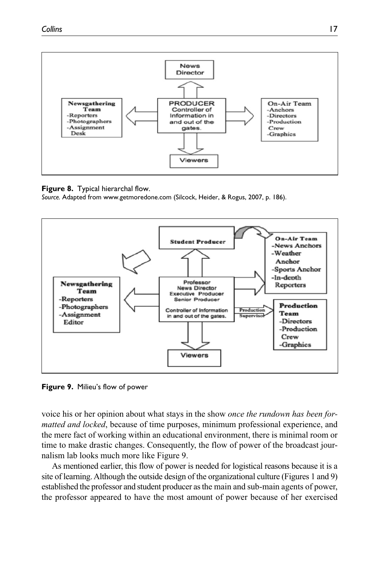



*Source.* Adapted from <www.getmoredone.com> (Silcock, Heider, & Rogus, 2007, p. 186).



**Figure 9.** Milieu's flow of power

voice his or her opinion about what stays in the show *once the rundown has been formatted and locked*, because of time purposes, minimum professional experience, and the mere fact of working within an educational environment, there is minimal room or time to make drastic changes. Consequently, the flow of power of the broadcast journalism lab looks much more like Figure 9.

As mentioned earlier, this flow of power is needed for logistical reasons because it is a site of learning. Although the outside design of the organizational culture (Figures 1 and 9) established the professor and student producer as the main and sub-main agents of power, the professor appeared to have the most amount of power because of her exercised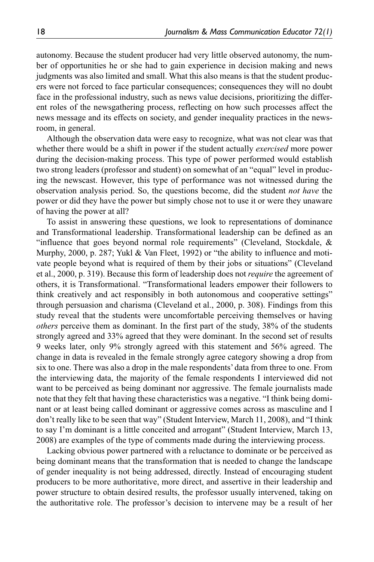autonomy. Because the student producer had very little observed autonomy, the number of opportunities he or she had to gain experience in decision making and news judgments was also limited and small. What this also means is that the student producers were not forced to face particular consequences; consequences they will no doubt face in the professional industry, such as news value decisions, prioritizing the different roles of the newsgathering process, reflecting on how such processes affect the news message and its effects on society, and gender inequality practices in the newsroom, in general.

Although the observation data were easy to recognize, what was not clear was that whether there would be a shift in power if the student actually *exercised* more power during the decision-making process. This type of power performed would establish two strong leaders (professor and student) on somewhat of an "equal" level in producing the newscast. However, this type of performance was not witnessed during the observation analysis period. So, the questions become, did the student *not have* the power or did they have the power but simply chose not to use it or were they unaware of having the power at all?

To assist in answering these questions, we look to representations of dominance and Transformational leadership. Transformational leadership can be defined as an "influence that goes beyond normal role requirements" (Cleveland, Stockdale, & Murphy, 2000, p. 287; Yukl & Van Fleet, 1992) or "the ability to influence and motivate people beyond what is required of them by their jobs or situations" (Cleveland et al., 2000, p. 319). Because this form of leadership does not *require* the agreement of others, it is Transformational. "Transformational leaders empower their followers to think creatively and act responsibly in both autonomous and cooperative settings" through persuasion and charisma (Cleveland et al., 2000, p. 308). Findings from this study reveal that the students were uncomfortable perceiving themselves or having *others* perceive them as dominant. In the first part of the study, 38% of the students strongly agreed and 33% agreed that they were dominant. In the second set of results 9 weeks later, only 9% strongly agreed with this statement and 56% agreed. The change in data is revealed in the female strongly agree category showing a drop from six to one. There was also a drop in the male respondents' data from three to one. From the interviewing data, the majority of the female respondents I interviewed did not want to be perceived as being dominant nor aggressive. The female journalists made note that they felt that having these characteristics was a negative. "I think being dominant or at least being called dominant or aggressive comes across as masculine and I don't really like to be seen that way" (Student Interview, March 11, 2008), and "I think to say I'm dominant is a little conceited and arrogant" (Student Interview, March 13, 2008) are examples of the type of comments made during the interviewing process.

Lacking obvious power partnered with a reluctance to dominate or be perceived as being dominant means that the transformation that is needed to change the landscape of gender inequality is not being addressed, directly. Instead of encouraging student producers to be more authoritative, more direct, and assertive in their leadership and power structure to obtain desired results, the professor usually intervened, taking on the authoritative role. The professor's decision to intervene may be a result of her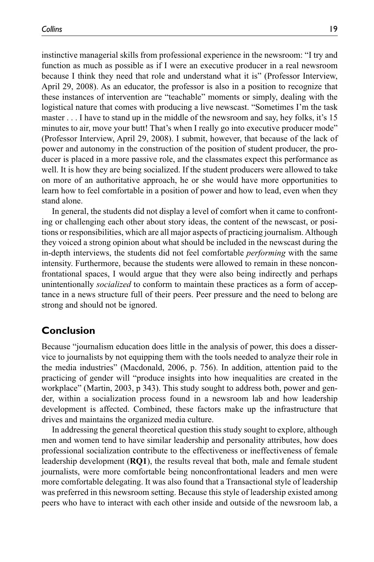instinctive managerial skills from professional experience in the newsroom: "I try and function as much as possible as if I were an executive producer in a real newsroom because I think they need that role and understand what it is" (Professor Interview, April 29, 2008). As an educator, the professor is also in a position to recognize that these instances of intervention are "teachable" moments or simply, dealing with the logistical nature that comes with producing a live newscast. "Sometimes I'm the task master . . . I have to stand up in the middle of the newsroom and say, hey folks, it's 15 minutes to air, move your butt! That's when I really go into executive producer mode" (Professor Interview, April 29, 2008). I submit, however, that because of the lack of power and autonomy in the construction of the position of student producer, the producer is placed in a more passive role, and the classmates expect this performance as well. It is how they are being socialized. If the student producers were allowed to take on more of an authoritative approach, he or she would have more opportunities to learn how to feel comfortable in a position of power and how to lead, even when they stand alone.

In general, the students did not display a level of comfort when it came to confronting or challenging each other about story ideas, the content of the newscast, or positions or responsibilities, which are all major aspects of practicing journalism. Although they voiced a strong opinion about what should be included in the newscast during the in-depth interviews, the students did not feel comfortable *performing* with the same intensity. Furthermore, because the students were allowed to remain in these nonconfrontational spaces, I would argue that they were also being indirectly and perhaps unintentionally *socialized* to conform to maintain these practices as a form of acceptance in a news structure full of their peers. Peer pressure and the need to belong are strong and should not be ignored.

# **Conclusion**

Because "journalism education does little in the analysis of power, this does a disservice to journalists by not equipping them with the tools needed to analyze their role in the media industries" (Macdonald, 2006, p. 756). In addition, attention paid to the practicing of gender will "produce insights into how inequalities are created in the workplace" (Martin, 2003, p 343). This study sought to address both, power and gender, within a socialization process found in a newsroom lab and how leadership development is affected. Combined, these factors make up the infrastructure that drives and maintains the organized media culture.

In addressing the general theoretical question this study sought to explore, although men and women tend to have similar leadership and personality attributes, how does professional socialization contribute to the effectiveness or ineffectiveness of female leadership development (**RQ1**), the results reveal that both, male and female student journalists, were more comfortable being nonconfrontational leaders and men were more comfortable delegating. It was also found that a Transactional style of leadership was preferred in this newsroom setting. Because this style of leadership existed among peers who have to interact with each other inside and outside of the newsroom lab, a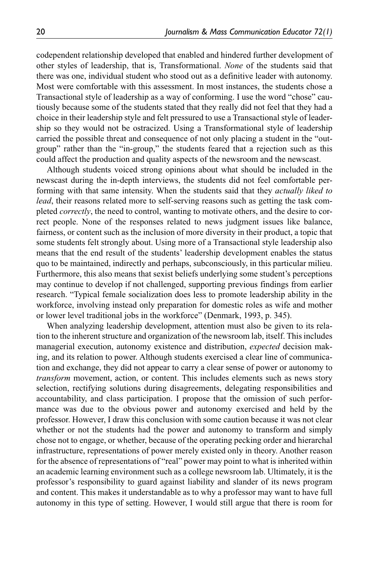codependent relationship developed that enabled and hindered further development of other styles of leadership, that is, Transformational. *None* of the students said that there was one, individual student who stood out as a definitive leader with autonomy. Most were comfortable with this assessment. In most instances, the students chose a Transactional style of leadership as a way of conforming. I use the word "chose" cautiously because some of the students stated that they really did not feel that they had a choice in their leadership style and felt pressured to use a Transactional style of leadership so they would not be ostracized. Using a Transformational style of leadership carried the possible threat and consequence of not only placing a student in the "outgroup" rather than the "in-group," the students feared that a rejection such as this could affect the production and quality aspects of the newsroom and the newscast.

Although students voiced strong opinions about what should be included in the newscast during the in-depth interviews, the students did not feel comfortable performing with that same intensity. When the students said that they *actually liked to lead*, their reasons related more to self-serving reasons such as getting the task completed *correctly*, the need to control, wanting to motivate others, and the desire to correct people. None of the responses related to news judgment issues like balance, fairness, or content such as the inclusion of more diversity in their product, a topic that some students felt strongly about. Using more of a Transactional style leadership also means that the end result of the students' leadership development enables the status quo to be maintained, indirectly and perhaps, subconsciously, in this particular milieu. Furthermore, this also means that sexist beliefs underlying some student's perceptions may continue to develop if not challenged, supporting previous findings from earlier research. "Typical female socialization does less to promote leadership ability in the workforce, involving instead only preparation for domestic roles as wife and mother or lower level traditional jobs in the workforce" (Denmark, 1993, p. 345).

When analyzing leadership development, attention must also be given to its relation to the inherent structure and organization of the newsroom lab, itself. This includes managerial execution, autonomy existence and distribution, *expected* decision making, and its relation to power. Although students exercised a clear line of communication and exchange, they did not appear to carry a clear sense of power or autonomy to *transform* movement, action, or content. This includes elements such as news story selection, rectifying solutions during disagreements, delegating responsibilities and accountability, and class participation. I propose that the omission of such performance was due to the obvious power and autonomy exercised and held by the professor. However, I draw this conclusion with some caution because it was not clear whether or not the students had the power and autonomy to transform and simply chose not to engage, or whether, because of the operating pecking order and hierarchal infrastructure, representations of power merely existed only in theory. Another reason for the absence of representations of "real" power may point to what is inherited within an academic learning environment such as a college newsroom lab. Ultimately, it is the professor's responsibility to guard against liability and slander of its news program and content. This makes it understandable as to why a professor may want to have full autonomy in this type of setting. However, I would still argue that there is room for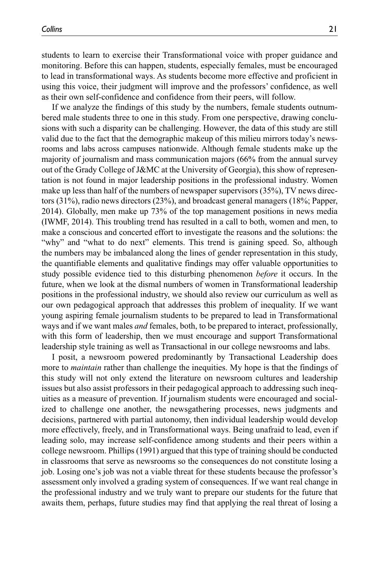students to learn to exercise their Transformational voice with proper guidance and monitoring. Before this can happen, students, especially females, must be encouraged to lead in transformational ways. As students become more effective and proficient in using this voice, their judgment will improve and the professors' confidence, as well as their own self-confidence and confidence from their peers, will follow.

If we analyze the findings of this study by the numbers, female students outnumbered male students three to one in this study. From one perspective, drawing conclusions with such a disparity can be challenging. However, the data of this study are still valid due to the fact that the demographic makeup of this milieu mirrors today's newsrooms and labs across campuses nationwide. Although female students make up the majority of journalism and mass communication majors (66% from the annual survey out of the Grady College of J&MC at the University of Georgia), this show of representation is not found in major leadership positions in the professional industry. Women make up less than half of the numbers of newspaper supervisors (35%), TV news directors (31%), radio news directors (23%), and broadcast general managers (18%; Papper, 2014). Globally, men make up 73% of the top management positions in news media (IWMF, 2014). This troubling trend has resulted in a call to both, women and men, to make a conscious and concerted effort to investigate the reasons and the solutions: the "why" and "what to do next" elements. This trend is gaining speed. So, although the numbers may be imbalanced along the lines of gender representation in this study, the quantifiable elements and qualitative findings may offer valuable opportunities to study possible evidence tied to this disturbing phenomenon *before* it occurs. In the future, when we look at the dismal numbers of women in Transformational leadership positions in the professional industry, we should also review our curriculum as well as our own pedagogical approach that addresses this problem of inequality. If we want young aspiring female journalism students to be prepared to lead in Transformational ways and if we want males *and* females, both, to be prepared to interact, professionally, with this form of leadership, then we must encourage and support Transformational leadership style training as well as Transactional in our college newsrooms and labs.

I posit, a newsroom powered predominantly by Transactional Leadership does more to *maintain* rather than challenge the inequities. My hope is that the findings of this study will not only extend the literature on newsroom cultures and leadership issues but also assist professors in their pedagogical approach to addressing such inequities as a measure of prevention. If journalism students were encouraged and socialized to challenge one another, the newsgathering processes, news judgments and decisions, partnered with partial autonomy, then individual leadership would develop more effectively, freely, and in Transformational ways. Being unafraid to lead, even if leading solo, may increase self-confidence among students and their peers within a college newsroom. Phillips (1991) argued that this type of training should be conducted in classrooms that serve as newsrooms so the consequences do not constitute losing a job. Losing one's job was not a viable threat for these students because the professor's assessment only involved a grading system of consequences. If we want real change in the professional industry and we truly want to prepare our students for the future that awaits them, perhaps, future studies may find that applying the real threat of losing a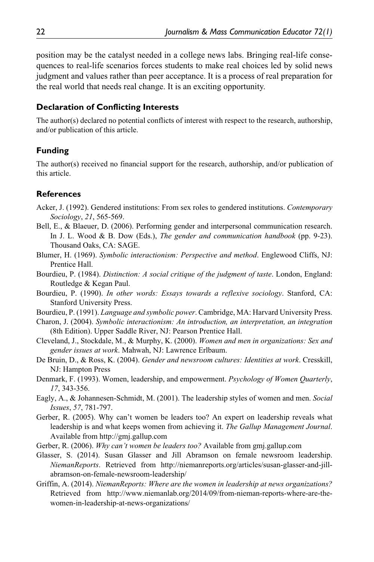position may be the catalyst needed in a college news labs. Bringing real-life consequences to real-life scenarios forces students to make real choices led by solid news judgment and values rather than peer acceptance. It is a process of real preparation for the real world that needs real change. It is an exciting opportunity.

### **Declaration of Conflicting Interests**

The author(s) declared no potential conflicts of interest with respect to the research, authorship, and/or publication of this article.

### **Funding**

The author(s) received no financial support for the research, authorship, and/or publication of this article.

### **References**

- Acker, J. (1992). Gendered institutions: From sex roles to gendered institutions. *Contemporary Sociology*, *21*, 565-569.
- Bell, E., & Blaeuer, D. (2006). Performing gender and interpersonal communication research. In J. L. Wood & B. Dow (Eds.), *The gender and communication handbook* (pp. 9-23). Thousand Oaks, CA: SAGE.
- Blumer, H. (1969). *Symbolic interactionism: Perspective and method*. Englewood Cliffs, NJ: Prentice Hall.
- Bourdieu, P. (1984). *Distinction: A social critique of the judgment of taste*. London, England: Routledge & Kegan Paul.
- Bourdieu, P. (1990). *In other words: Essays towards a reflexive sociology*. Stanford, CA: Stanford University Press.
- Bourdieu, P. (1991). *Language and symbolic power*. Cambridge, MA: Harvard University Press.
- Charon, J. (2004). *Symbolic interactionism: An introduction, an interpretation, an integration* (8th Edition). Upper Saddle River, NJ: Pearson Prentice Hall.
- Cleveland, J., Stockdale, M., & Murphy, K. (2000). *Women and men in organizations: Sex and gender issues at work*. Mahwah, NJ: Lawrence Erlbaum.
- De Bruin, D., & Ross, K. (2004). *Gender and newsroom cultures: Identities at work*. Cresskill, NJ: Hampton Press
- Denmark, F. (1993). Women, leadership, and empowerment. *Psychology of Women Quarterly*, *17*, 343-356.
- Eagly, A., & Johannesen-Schmidt, M. (2001). The leadership styles of women and men. *Social Issues*, *57*, 781-797.
- Gerber, R. (2005). Why can't women be leaders too? An expert on leadership reveals what leadership is and what keeps women from achieving it. *The Gallup Management Journal*. Available from <http://gmj.gallup.com>
- Gerber, R. (2006). *Why can't women be leaders too?* Available from gmj.gallup.com
- Glasser, S. (2014). Susan Glasser and Jill Abramson on female newsroom leadership. *NiemanReports*. Retrieved from [http://niemanreports.org/articles/susan-glasser-and-jill](http://niemanreports.org/articles/susan-glasser-and-jill-abramson-on-female-newsroom-leadership/)[abramson-on-female-newsroom-leadership/](http://niemanreports.org/articles/susan-glasser-and-jill-abramson-on-female-newsroom-leadership/)
- Griffin, A. (2014). *NiemanReports: Where are the women in leadership at news organizations?* Retrieved from [http://www.niemanlab.org/2014/09/from-nieman-reports-where-are-the](http://www.niemanlab.org/2014/09/from-nieman-reports-where-are-the-women-in-leadership-at-news-organizations/)[women-in-leadership-at-news-organizations/](http://www.niemanlab.org/2014/09/from-nieman-reports-where-are-the-women-in-leadership-at-news-organizations/)